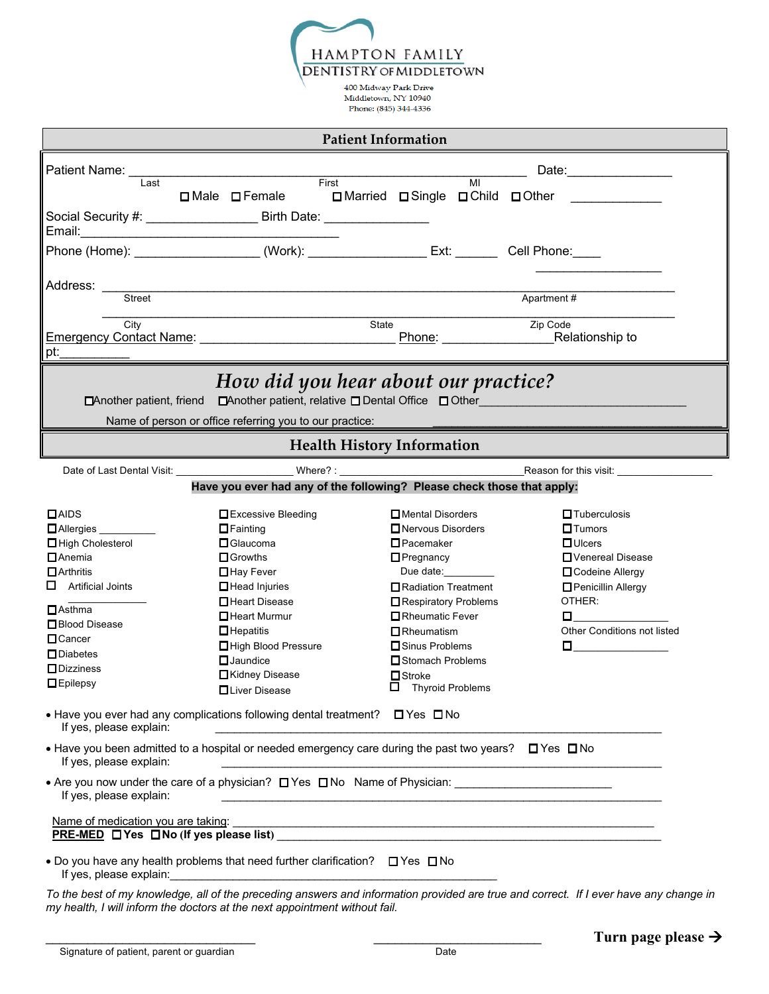**HAMPTON FAMILY DENTISTRY OF MIDDLETOWN** 

 $400$  Midway Park Drive $\,$ Middletown, NY 10940 Phone: (845) 344-4336

| <b>Patient Information</b> |                                                                                                                       |                                                  |                                                                           |  |  |  |  |
|----------------------------|-----------------------------------------------------------------------------------------------------------------------|--------------------------------------------------|---------------------------------------------------------------------------|--|--|--|--|
|                            |                                                                                                                       |                                                  |                                                                           |  |  |  |  |
| Last                       | First                                                                                                                 | MI                                               |                                                                           |  |  |  |  |
|                            | □Male □ Female □ Narried □ Single □ Child □ Other                                                                     |                                                  |                                                                           |  |  |  |  |
|                            | Social Security #: _____________________ Birth Date: ____________________                                             |                                                  |                                                                           |  |  |  |  |
|                            |                                                                                                                       |                                                  |                                                                           |  |  |  |  |
|                            |                                                                                                                       |                                                  |                                                                           |  |  |  |  |
|                            |                                                                                                                       |                                                  |                                                                           |  |  |  |  |
| Address:<br><b>Street</b>  |                                                                                                                       |                                                  | Apartment #                                                               |  |  |  |  |
|                            |                                                                                                                       |                                                  |                                                                           |  |  |  |  |
| City                       | Emergency Contact Name: Manner Contact Name Contact Contact Contact Contact Contact Contact Contact Contact Co        | State                                            | Zip Code                                                                  |  |  |  |  |
| pt:                        |                                                                                                                       |                                                  |                                                                           |  |  |  |  |
|                            |                                                                                                                       |                                                  |                                                                           |  |  |  |  |
|                            | How did you hear about our practice?                                                                                  |                                                  |                                                                           |  |  |  |  |
| □ Another patient, friend  |                                                                                                                       |                                                  | $\Box$ Another patient, relative $\Box$ Dental Office $\Box$ Other $\Box$ |  |  |  |  |
|                            | Name of person or office referring you to our practice:                                                               |                                                  |                                                                           |  |  |  |  |
|                            |                                                                                                                       | <b>Health History Information</b>                |                                                                           |  |  |  |  |
|                            |                                                                                                                       |                                                  |                                                                           |  |  |  |  |
|                            |                                                                                                                       |                                                  |                                                                           |  |  |  |  |
|                            | Have you ever had any of the following? Please check those that apply:                                                |                                                  |                                                                           |  |  |  |  |
| $\Box$ AIDS                | Excessive Bleeding                                                                                                    | □ Mental Disorders                               | $\Box$ Tuberculosis                                                       |  |  |  |  |
| Allergies                  | $\Box$ Fainting                                                                                                       | □ Nervous Disorders                              | $\Box$ Tumors                                                             |  |  |  |  |
| □ High Cholesterol         | $\Box$ Glaucoma                                                                                                       | $\Box$ Pacemaker                                 | $\Box$ Ulcers                                                             |  |  |  |  |
| <b>Anemia</b>              | $\Box$ Growths                                                                                                        | $\Box$ Pregnancy                                 | □ Venereal Disease                                                        |  |  |  |  |
| $\Box$ Arthritis           | □Hay Fever                                                                                                            | Due date:                                        | Codeine Allergy                                                           |  |  |  |  |
| $\Box$ Artificial Joints   | $\Box$ Head Injuries                                                                                                  | Radiation Treatment                              | <b>O</b> Penicillin Allergy                                               |  |  |  |  |
| $\Box$ Asthma              | □Heart Disease                                                                                                        | Respiratory Problems                             | OTHER:                                                                    |  |  |  |  |
| □ Blood Disease            | □ Heart Murmur                                                                                                        | □Rheumatic Fever                                 | $\Box$                                                                    |  |  |  |  |
| $\Box$ Cancer              | $\Box$ Hepatitis                                                                                                      | $\Box$ Rheumatism                                | Other Conditions not listed                                               |  |  |  |  |
| $\square$ Diabetes         | High Blood Pressure                                                                                                   | □ Sinus Problems                                 | $\Box$ and the set of $\Box$                                              |  |  |  |  |
| $\Box$ Dizziness           | $\Box$ Jaundice                                                                                                       | □ Stomach Problems                               |                                                                           |  |  |  |  |
| $\Box$ Epilepsy            | □Kidney Disease<br>□Liver Disease                                                                                     | $\square$ Stroke<br>□<br><b>Thyroid Problems</b> |                                                                           |  |  |  |  |
|                            | • Have you ever had any complications following dental treatment? $\Box$ Yes $\Box$ No                                |                                                  |                                                                           |  |  |  |  |
| If yes, please explain:    | <u> 1980 - Johann Barbara, martin amerikan basar dan berasal dalam basar dalam basar dalam basar dalam basar dala</u> |                                                  |                                                                           |  |  |  |  |
| If yes, please explain:    | • Have you been admitted to a hospital or needed emergency care during the past two years? $\Box$ Yes $\Box$ No       |                                                  |                                                                           |  |  |  |  |
| If yes, please explain:    |                                                                                                                       |                                                  |                                                                           |  |  |  |  |
|                            |                                                                                                                       |                                                  |                                                                           |  |  |  |  |
|                            |                                                                                                                       |                                                  |                                                                           |  |  |  |  |
|                            | • Do you have any health problems that need further clarification? $\square$ Yes $\square$ No                         |                                                  |                                                                           |  |  |  |  |
|                            |                                                                                                                       |                                                  |                                                                           |  |  |  |  |

*To the best of my knowledge, all of the preceding answers and information provided are true and correct. If I ever have any change in my health, I will inform the doctors at the next appointment without fail.*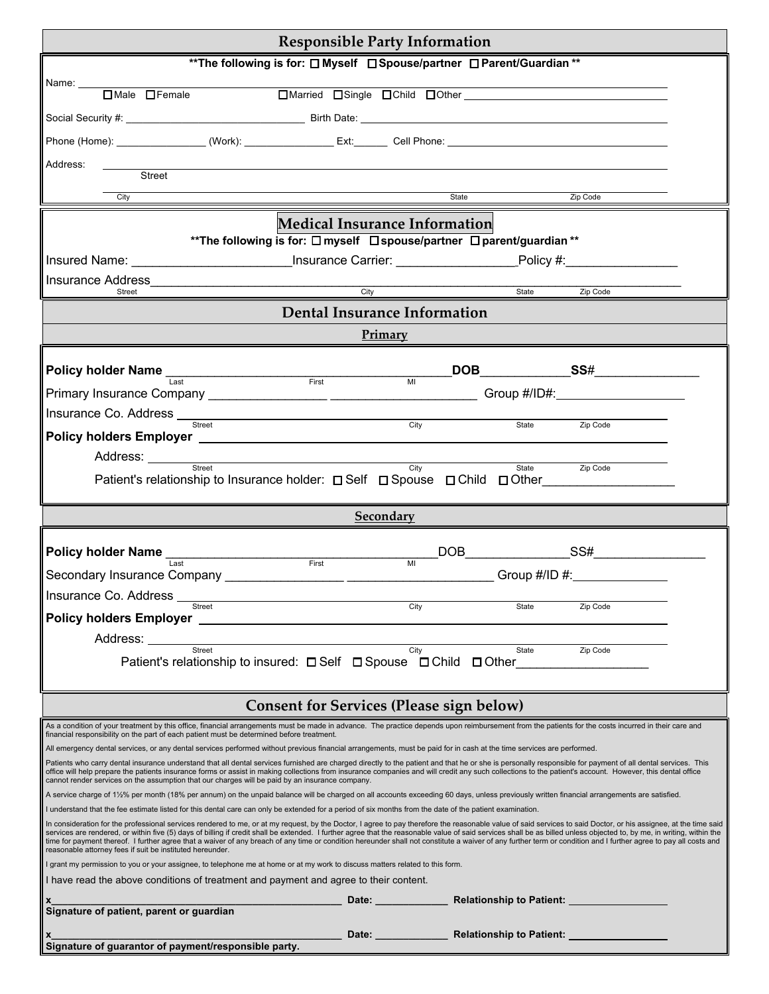| <b>Responsible Party Information</b>                                                                                                                                                                                                                                                                                                                                                                                                                                                                                                                                                                                                                                                                                        |                                      |                                    |                                                                          |  |  |  |
|-----------------------------------------------------------------------------------------------------------------------------------------------------------------------------------------------------------------------------------------------------------------------------------------------------------------------------------------------------------------------------------------------------------------------------------------------------------------------------------------------------------------------------------------------------------------------------------------------------------------------------------------------------------------------------------------------------------------------------|--------------------------------------|------------------------------------|--------------------------------------------------------------------------|--|--|--|
| ** The following is for: $\square$ Myself $\square$ Spouse/partner $\square$ Parent/Guardian **                                                                                                                                                                                                                                                                                                                                                                                                                                                                                                                                                                                                                             |                                      |                                    |                                                                          |  |  |  |
| Name:                                                                                                                                                                                                                                                                                                                                                                                                                                                                                                                                                                                                                                                                                                                       |                                      |                                    |                                                                          |  |  |  |
| $\Box$ Male $\Box$ Female                                                                                                                                                                                                                                                                                                                                                                                                                                                                                                                                                                                                                                                                                                   |                                      | □ Married □ Single □ Child □ Other |                                                                          |  |  |  |
|                                                                                                                                                                                                                                                                                                                                                                                                                                                                                                                                                                                                                                                                                                                             |                                      |                                    |                                                                          |  |  |  |
| Phone (Home): _________________(Work): _________________Ext:_________ Cell Phone: __________________________________                                                                                                                                                                                                                                                                                                                                                                                                                                                                                                                                                                                                        |                                      |                                    |                                                                          |  |  |  |
| Address:                                                                                                                                                                                                                                                                                                                                                                                                                                                                                                                                                                                                                                                                                                                    |                                      |                                    |                                                                          |  |  |  |
| Street                                                                                                                                                                                                                                                                                                                                                                                                                                                                                                                                                                                                                                                                                                                      |                                      |                                    |                                                                          |  |  |  |
| City                                                                                                                                                                                                                                                                                                                                                                                                                                                                                                                                                                                                                                                                                                                        |                                      | State                              | Zip Code                                                                 |  |  |  |
|                                                                                                                                                                                                                                                                                                                                                                                                                                                                                                                                                                                                                                                                                                                             | <b>Medical Insurance Information</b> |                                    |                                                                          |  |  |  |
| **The following is for: □ myself □ spouse/partner □ parent/guardian **                                                                                                                                                                                                                                                                                                                                                                                                                                                                                                                                                                                                                                                      |                                      |                                    |                                                                          |  |  |  |
| Insured Name: _______________________________Insurance Carrier: _________________Policy #:__________                                                                                                                                                                                                                                                                                                                                                                                                                                                                                                                                                                                                                        |                                      |                                    |                                                                          |  |  |  |
| Street                                                                                                                                                                                                                                                                                                                                                                                                                                                                                                                                                                                                                                                                                                                      | $\overline{City}$                    | State                              | Zip Code                                                                 |  |  |  |
|                                                                                                                                                                                                                                                                                                                                                                                                                                                                                                                                                                                                                                                                                                                             | <b>Dental Insurance Information</b>  |                                    |                                                                          |  |  |  |
|                                                                                                                                                                                                                                                                                                                                                                                                                                                                                                                                                                                                                                                                                                                             | Primary                              |                                    |                                                                          |  |  |  |
|                                                                                                                                                                                                                                                                                                                                                                                                                                                                                                                                                                                                                                                                                                                             |                                      |                                    |                                                                          |  |  |  |
| Policy holder Name<br>Last<br>Last<br>Eirst<br>First                                                                                                                                                                                                                                                                                                                                                                                                                                                                                                                                                                                                                                                                        | $\overline{M}$                       |                                    | DOB SS#                                                                  |  |  |  |
|                                                                                                                                                                                                                                                                                                                                                                                                                                                                                                                                                                                                                                                                                                                             |                                      |                                    |                                                                          |  |  |  |
| Insurance Co. Address <b>contained a manufacture of the container and container and container and container</b><br>Street                                                                                                                                                                                                                                                                                                                                                                                                                                                                                                                                                                                                   | City                                 | State                              | Zip Code                                                                 |  |  |  |
|                                                                                                                                                                                                                                                                                                                                                                                                                                                                                                                                                                                                                                                                                                                             |                                      |                                    |                                                                          |  |  |  |
| Address: <u>with Street Street Street Street Street Street Street Street Street Street Street Street Street Street Street Street Street Street Street Street Street Street Street Street Street Street Street Street Street Stre</u>                                                                                                                                                                                                                                                                                                                                                                                                                                                                                        | City                                 |                                    |                                                                          |  |  |  |
| Patient's relationship to Insurance holder: □ Self □ Spouse □ Child □ Other                                                                                                                                                                                                                                                                                                                                                                                                                                                                                                                                                                                                                                                 |                                      | State                              | Zip Code                                                                 |  |  |  |
|                                                                                                                                                                                                                                                                                                                                                                                                                                                                                                                                                                                                                                                                                                                             |                                      |                                    |                                                                          |  |  |  |
| Secondary                                                                                                                                                                                                                                                                                                                                                                                                                                                                                                                                                                                                                                                                                                                   |                                      |                                    |                                                                          |  |  |  |
|                                                                                                                                                                                                                                                                                                                                                                                                                                                                                                                                                                                                                                                                                                                             |                                      |                                    |                                                                          |  |  |  |
| Policy holder Name<br>Last The Contract Pirst First First                                                                                                                                                                                                                                                                                                                                                                                                                                                                                                                                                                                                                                                                   | $\overline{M}$                       |                                    |                                                                          |  |  |  |
| Insurance Co. Address                                                                                                                                                                                                                                                                                                                                                                                                                                                                                                                                                                                                                                                                                                       |                                      |                                    |                                                                          |  |  |  |
| <b>Street</b>                                                                                                                                                                                                                                                                                                                                                                                                                                                                                                                                                                                                                                                                                                               | City                                 | State                              | Zip Code                                                                 |  |  |  |
|                                                                                                                                                                                                                                                                                                                                                                                                                                                                                                                                                                                                                                                                                                                             |                                      |                                    |                                                                          |  |  |  |
| Address: _______<br>Street                                                                                                                                                                                                                                                                                                                                                                                                                                                                                                                                                                                                                                                                                                  | City                                 | State                              | Zip Code                                                                 |  |  |  |
| Patient's relationship to insured: □ Self □ Spouse □ Child □ Other                                                                                                                                                                                                                                                                                                                                                                                                                                                                                                                                                                                                                                                          |                                      |                                    |                                                                          |  |  |  |
|                                                                                                                                                                                                                                                                                                                                                                                                                                                                                                                                                                                                                                                                                                                             |                                      |                                    |                                                                          |  |  |  |
| <b>Consent for Services (Please sign below)</b>                                                                                                                                                                                                                                                                                                                                                                                                                                                                                                                                                                                                                                                                             |                                      |                                    |                                                                          |  |  |  |
| As a condition of your treatment by this office, financial arrangements must be made in advance. The practice depends upon reimbursement from the patients for the costs incurred in their care and<br>financial responsibility on the part of each patient must be determined before treatment.                                                                                                                                                                                                                                                                                                                                                                                                                            |                                      |                                    |                                                                          |  |  |  |
| All emergency dental services, or any dental services performed without previous financial arrangements, must be paid for in cash at the time services are performed.                                                                                                                                                                                                                                                                                                                                                                                                                                                                                                                                                       |                                      |                                    |                                                                          |  |  |  |
| Patients who carry dental insurance understand that all dental services furnished are charged directly to the patient and that he or she is personally responsible for payment of all dental services. This<br>office will help prepare the patients insurance forms or assist in making collections from insurance companies and will credit any such collections to the patient's account. However, this dental office<br>cannot render services on the assumption that our charges will be paid by an insurance company.                                                                                                                                                                                                 |                                      |                                    |                                                                          |  |  |  |
| A service charge of 1½% per month (18% per annum) on the unpaid balance will be charged on all accounts exceeding 60 days, unless previously written financial arrangements are satisfied.                                                                                                                                                                                                                                                                                                                                                                                                                                                                                                                                  |                                      |                                    |                                                                          |  |  |  |
| I understand that the fee estimate listed for this dental care can only be extended for a period of six months from the date of the patient examination.                                                                                                                                                                                                                                                                                                                                                                                                                                                                                                                                                                    |                                      |                                    |                                                                          |  |  |  |
| In consideration for the professional services rendered to me, or at my request, by the Doctor, I agree to pay therefore the reasonable value of said services to said Doctor, or his assignee, at the time said<br>services are rendered, or within five (5) days of billing if credit shall be extended. I further agree that the reasonable value of said services shall be as billed unless objected to, by me, in writing, within the<br>time for payment thereof. I further agree that a waiver of any breach of any time or condition hereunder shall not constitute a waiver of any further term or condition and I further agree to pay all costs and<br>reasonable attorney fees if suit be instituted hereunder. |                                      |                                    |                                                                          |  |  |  |
| I grant my permission to you or your assignee, to telephone me at home or at my work to discuss matters related to this form.                                                                                                                                                                                                                                                                                                                                                                                                                                                                                                                                                                                               |                                      |                                    |                                                                          |  |  |  |
| I have read the above conditions of treatment and payment and agree to their content.                                                                                                                                                                                                                                                                                                                                                                                                                                                                                                                                                                                                                                       |                                      |                                    |                                                                          |  |  |  |
| Signature of patient, parent or guardian                                                                                                                                                                                                                                                                                                                                                                                                                                                                                                                                                                                                                                                                                    |                                      |                                    |                                                                          |  |  |  |
|                                                                                                                                                                                                                                                                                                                                                                                                                                                                                                                                                                                                                                                                                                                             |                                      |                                    |                                                                          |  |  |  |
|                                                                                                                                                                                                                                                                                                                                                                                                                                                                                                                                                                                                                                                                                                                             |                                      |                                    | _______ Date: ______________ Relationship to Patient: __________________ |  |  |  |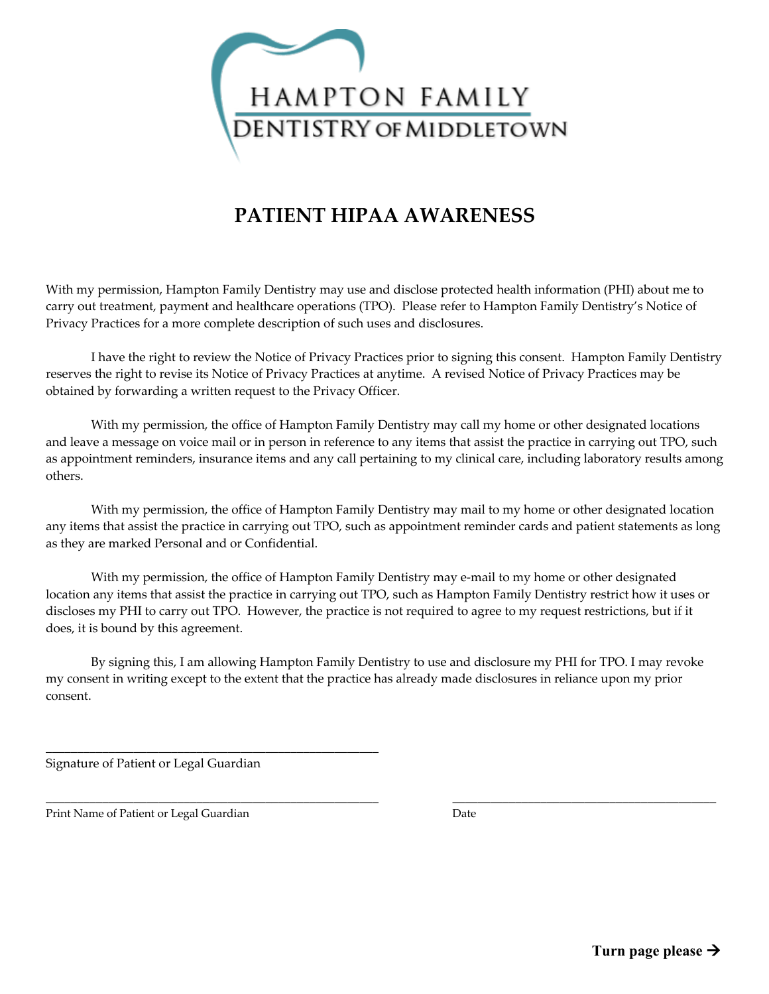

## **PATIENT HIPAA AWARENESS**

With my permission, Hampton Family Dentistry may use and disclose protected health information (PHI) about me to carry out treatment, payment and healthcare operations (TPO). Please refer to Hampton Family Dentistry's Notice of Privacy Practices for a more complete description of such uses and disclosures.

I have the right to review the Notice of Privacy Practices prior to signing this consent. Hampton Family Dentistry reserves the right to revise its Notice of Privacy Practices at anytime. A revised Notice of Privacy Practices may be obtained by forwarding a written request to the Privacy Officer.

With my permission, the office of Hampton Family Dentistry may call my home or other designated locations and leave a message on voice mail or in person in reference to any items that assist the practice in carrying out TPO, such as appointment reminders, insurance items and any call pertaining to my clinical care, including laboratory results among others.

With my permission, the office of Hampton Family Dentistry may mail to my home or other designated location any items that assist the practice in carrying out TPO, such as appointment reminder cards and patient statements as long as they are marked Personal and or Confidential.

With my permission, the office of Hampton Family Dentistry may e-mail to my home or other designated location any items that assist the practice in carrying out TPO, such as Hampton Family Dentistry restrict how it uses or discloses my PHI to carry out TPO. However, the practice is not required to agree to my request restrictions, but if it does, it is bound by this agreement.

By signing this, I am allowing Hampton Family Dentistry to use and disclosure my PHI for TPO. I may revoke my consent in writing except to the extent that the practice has already made disclosures in reliance upon my prior consent.

\_\_\_\_\_\_\_\_\_\_\_\_\_\_\_\_\_\_\_\_\_\_\_\_\_\_\_\_\_\_\_\_\_\_\_\_\_\_\_\_\_\_\_\_\_\_\_\_\_\_\_\_\_ \_\_\_\_\_\_\_\_\_\_\_\_\_\_\_\_\_\_\_\_\_\_\_\_\_\_\_\_\_\_\_\_\_\_\_\_\_\_\_\_\_\_

Signature of Patient or Legal Guardian

\_\_\_\_\_\_\_\_\_\_\_\_\_\_\_\_\_\_\_\_\_\_\_\_\_\_\_\_\_\_\_\_\_\_\_\_\_\_\_\_\_\_\_\_\_\_\_\_\_\_\_\_\_

Print Name of Patient or Legal Guardian Date